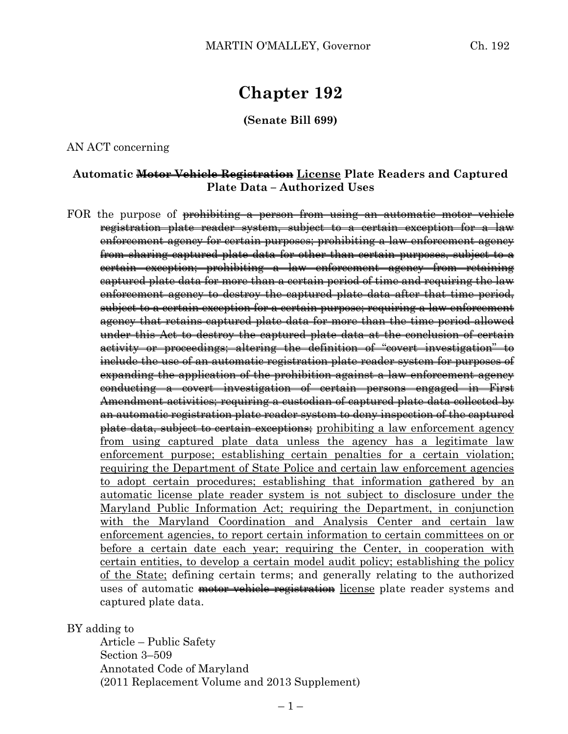# **Chapter 192**

**(Senate Bill 699)**

AN ACT concerning

### **Automatic Motor Vehicle Registration License Plate Readers and Captured Plate Data – Authorized Uses**

FOR the purpose of prohibiting a person from using an automatic motor vehicle registration plate reader system, subject to a certain exception for a law enforcement agency for certain purposes; prohibiting a law enforcement agency from sharing captured plate data for other than certain purposes, subject to a certain exception; prohibiting a law enforcement agency from retaining captured plate data for more than a certain period of time and requiring the law enforcement agency to destroy the captured plate data after that time period, subject to a certain exception for a certain purpose; requiring a law enforcement agency that retains captured plate data for more than the time period allowed under this Act to destroy the captured plate data at the conclusion of certain activity or proceedings; altering the definition of "covert investigation" to include the use of an automatic registration plate reader system for purposes of expanding the application of the prohibition against a law enforcement agency conducting a covert investigation of certain persons engaged in First Amendment activities; requiring a custodian of captured plate data collected by an automatic registration plate reader system to deny inspection of the captured plate data, subject to certain exceptions; prohibiting a law enforcement agency from using captured plate data unless the agency has a legitimate law enforcement purpose; establishing certain penalties for a certain violation; requiring the Department of State Police and certain law enforcement agencies to adopt certain procedures; establishing that information gathered by an automatic license plate reader system is not subject to disclosure under the Maryland Public Information Act; requiring the Department, in conjunction with the Maryland Coordination and Analysis Center and certain law enforcement agencies, to report certain information to certain committees on or before a certain date each year; requiring the Center, in cooperation with certain entities, to develop a certain model audit policy; establishing the policy of the State; defining certain terms; and generally relating to the authorized uses of automatic motor vehicle registration license plate reader systems and captured plate data.

#### BY adding to

Article – Public Safety Section 3–509 Annotated Code of Maryland (2011 Replacement Volume and 2013 Supplement)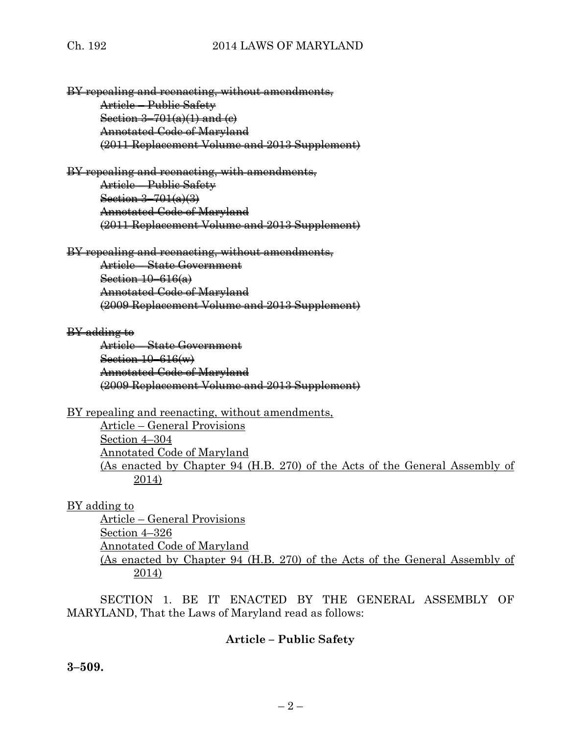## Ch. 192 2014 LAWS OF MARYLAND

BY repealing and reenacting, without amendments, Article – Public Safety Section  $3-701(a)(1)$  and  $(e)$ Annotated Code of Maryland (2011 Replacement Volume and 2013 Supplement)

BY repealing and reenacting, with amendments, Article – Public Safety Section 3–701(a)(3) Annotated Code of Maryland (2011 Replacement Volume and 2013 Supplement)

BY repealing and reenacting, without amendments, Article – State Government Section 10–616(a) Annotated Code of Maryland (2009 Replacement Volume and 2013 Supplement)

#### BY adding to

Article – State Government Section 10–616(w) Annotated Code of Maryland (2009 Replacement Volume and 2013 Supplement)

BY repealing and reenacting, without amendments,

Article – General Provisions Section 4–304 Annotated Code of Maryland (As enacted by Chapter 94 (H.B. 270) of the Acts of the General Assembly of 2014)

## BY adding to

Article – General Provisions Section 4–326 Annotated Code of Maryland (As enacted by Chapter 94 (H.B. 270) of the Acts of the General Assembly of 2014)

SECTION 1. BE IT ENACTED BY THE GENERAL ASSEMBLY OF MARYLAND, That the Laws of Maryland read as follows:

## **Article – Public Safety**

**3–509.**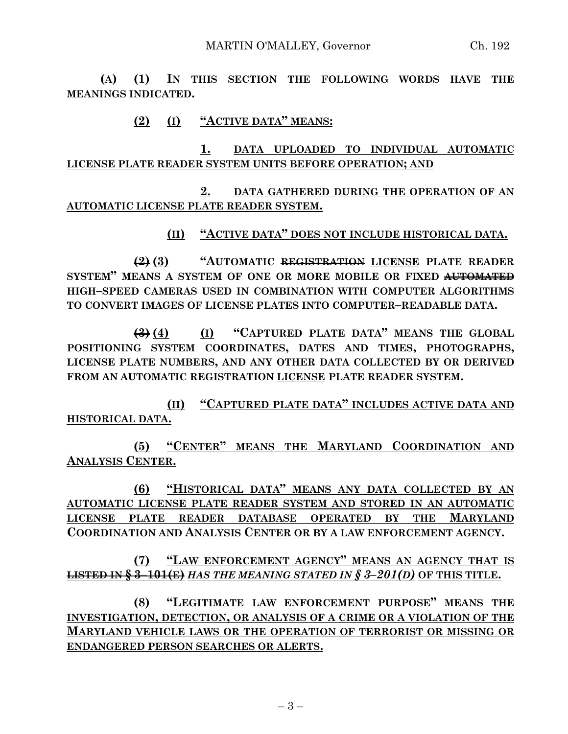**(A) (1) IN THIS SECTION THE FOLLOWING WORDS HAVE THE MEANINGS INDICATED.**

# **(2) (I) "ACTIVE DATA" MEANS:**

**1. DATA UPLOADED TO INDIVIDUAL AUTOMATIC LICENSE PLATE READER SYSTEM UNITS BEFORE OPERATION; AND**

**2. DATA GATHERED DURING THE OPERATION OF AN AUTOMATIC LICENSE PLATE READER SYSTEM.**

## **(II) "ACTIVE DATA" DOES NOT INCLUDE HISTORICAL DATA.**

**(2) (3) "AUTOMATIC REGISTRATION LICENSE PLATE READER SYSTEM" MEANS A SYSTEM OF ONE OR MORE MOBILE OR FIXED AUTOMATED HIGH–SPEED CAMERAS USED IN COMBINATION WITH COMPUTER ALGORITHMS TO CONVERT IMAGES OF LICENSE PLATES INTO COMPUTER–READABLE DATA.**

**(3) (4) (I) "CAPTURED PLATE DATA" MEANS THE GLOBAL POSITIONING SYSTEM COORDINATES, DATES AND TIMES, PHOTOGRAPHS, LICENSE PLATE NUMBERS, AND ANY OTHER DATA COLLECTED BY OR DERIVED FROM AN AUTOMATIC REGISTRATION LICENSE PLATE READER SYSTEM.**

**(II) "CAPTURED PLATE DATA" INCLUDES ACTIVE DATA AND HISTORICAL DATA.**

**(5) "CENTER" MEANS THE MARYLAND COORDINATION AND ANALYSIS CENTER.**

**(6) "HISTORICAL DATA" MEANS ANY DATA COLLECTED BY AN AUTOMATIC LICENSE PLATE READER SYSTEM AND STORED IN AN AUTOMATIC LICENSE PLATE READER DATABASE OPERATED BY THE MARYLAND COORDINATION AND ANALYSIS CENTER OR BY A LAW ENFORCEMENT AGENCY.**

**(7) "LAW ENFORCEMENT AGENCY" MEANS AN AGENCY THAT IS LISTED IN § 3–101(E)** *HAS THE MEANING STATED IN § 3–201(D)* **OF THIS TITLE.**

**(8) "LEGITIMATE LAW ENFORCEMENT PURPOSE" MEANS THE INVESTIGATION, DETECTION, OR ANALYSIS OF A CRIME OR A VIOLATION OF THE MARYLAND VEHICLE LAWS OR THE OPERATION OF TERRORIST OR MISSING OR ENDANGERED PERSON SEARCHES OR ALERTS.**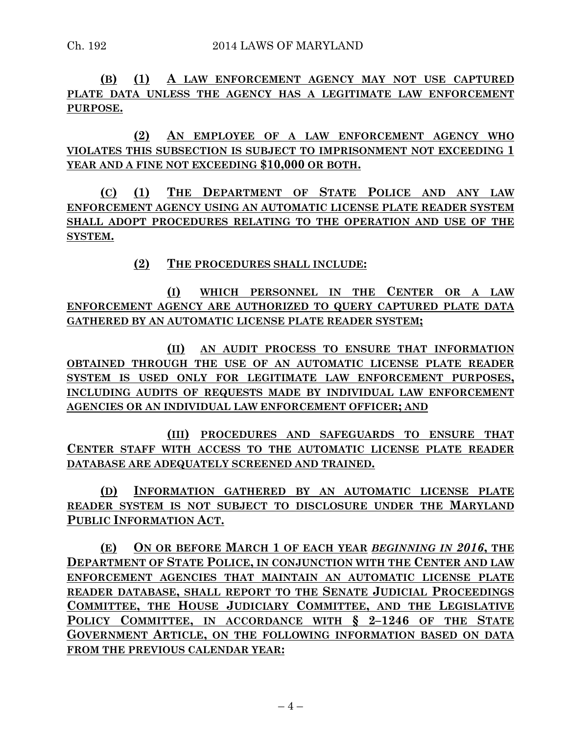**(B) (1) A LAW ENFORCEMENT AGENCY MAY NOT USE CAPTURED PLATE DATA UNLESS THE AGENCY HAS A LEGITIMATE LAW ENFORCEMENT PURPOSE.**

**(2) AN EMPLOYEE OF A LAW ENFORCEMENT AGENCY WHO VIOLATES THIS SUBSECTION IS SUBJECT TO IMPRISONMENT NOT EXCEEDING 1 YEAR AND A FINE NOT EXCEEDING \$10,000 OR BOTH.**

**(C) (1) THE DEPARTMENT OF STATE POLICE AND ANY LAW ENFORCEMENT AGENCY USING AN AUTOMATIC LICENSE PLATE READER SYSTEM SHALL ADOPT PROCEDURES RELATING TO THE OPERATION AND USE OF THE SYSTEM.**

**(2) THE PROCEDURES SHALL INCLUDE:**

**(I) WHICH PERSONNEL IN THE CENTER OR A LAW ENFORCEMENT AGENCY ARE AUTHORIZED TO QUERY CAPTURED PLATE DATA GATHERED BY AN AUTOMATIC LICENSE PLATE READER SYSTEM;**

**(II) AN AUDIT PROCESS TO ENSURE THAT INFORMATION OBTAINED THROUGH THE USE OF AN AUTOMATIC LICENSE PLATE READER SYSTEM IS USED ONLY FOR LEGITIMATE LAW ENFORCEMENT PURPOSES, INCLUDING AUDITS OF REQUESTS MADE BY INDIVIDUAL LAW ENFORCEMENT AGENCIES OR AN INDIVIDUAL LAW ENFORCEMENT OFFICER; AND** 

**(III) PROCEDURES AND SAFEGUARDS TO ENSURE THAT CENTER STAFF WITH ACCESS TO THE AUTOMATIC LICENSE PLATE READER DATABASE ARE ADEQUATELY SCREENED AND TRAINED.**

**(D) INFORMATION GATHERED BY AN AUTOMATIC LICENSE PLATE READER SYSTEM IS NOT SUBJECT TO DISCLOSURE UNDER THE MARYLAND PUBLIC INFORMATION ACT.**

**(E) ON OR BEFORE MARCH 1 OF EACH YEAR** *BEGINNING IN 2016***, THE DEPARTMENT OF STATE POLICE, IN CONJUNCTION WITH THE CENTER AND LAW ENFORCEMENT AGENCIES THAT MAINTAIN AN AUTOMATIC LICENSE PLATE READER DATABASE, SHALL REPORT TO THE SENATE JUDICIAL PROCEEDINGS COMMITTEE, THE HOUSE JUDICIARY COMMITTEE, AND THE LEGISLATIVE POLICY COMMITTEE, IN ACCORDANCE WITH § 2–1246 OF THE STATE GOVERNMENT ARTICLE, ON THE FOLLOWING INFORMATION BASED ON DATA FROM THE PREVIOUS CALENDAR YEAR:**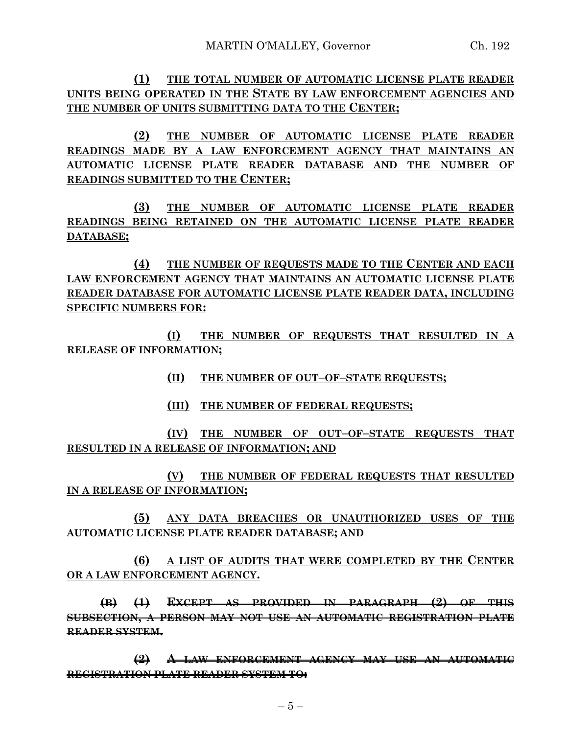**(1) THE TOTAL NUMBER OF AUTOMATIC LICENSE PLATE READER UNITS BEING OPERATED IN THE STATE BY LAW ENFORCEMENT AGENCIES AND THE NUMBER OF UNITS SUBMITTING DATA TO THE CENTER;**

**(2) THE NUMBER OF AUTOMATIC LICENSE PLATE READER READINGS MADE BY A LAW ENFORCEMENT AGENCY THAT MAINTAINS AN AUTOMATIC LICENSE PLATE READER DATABASE AND THE NUMBER OF READINGS SUBMITTED TO THE CENTER;**

**(3) THE NUMBER OF AUTOMATIC LICENSE PLATE READER READINGS BEING RETAINED ON THE AUTOMATIC LICENSE PLATE READER DATABASE;**

**(4) THE NUMBER OF REQUESTS MADE TO THE CENTER AND EACH LAW ENFORCEMENT AGENCY THAT MAINTAINS AN AUTOMATIC LICENSE PLATE READER DATABASE FOR AUTOMATIC LICENSE PLATE READER DATA, INCLUDING SPECIFIC NUMBERS FOR:**

**(I) THE NUMBER OF REQUESTS THAT RESULTED IN A RELEASE OF INFORMATION;**

- **(II) THE NUMBER OF OUT–OF–STATE REQUESTS;**
- **(III) THE NUMBER OF FEDERAL REQUESTS;**

**(IV) THE NUMBER OF OUT–OF–STATE REQUESTS THAT RESULTED IN A RELEASE OF INFORMATION; AND**

**(V) THE NUMBER OF FEDERAL REQUESTS THAT RESULTED IN A RELEASE OF INFORMATION;**

**(5) ANY DATA BREACHES OR UNAUTHORIZED USES OF THE AUTOMATIC LICENSE PLATE READER DATABASE; AND**

**(6) A LIST OF AUDITS THAT WERE COMPLETED BY THE CENTER OR A LAW ENFORCEMENT AGENCY.**

**(B) (1) EXCEPT AS PROVIDED IN PARAGRAPH (2) OF THIS SUBSECTION, A PERSON MAY NOT USE AN AUTOMATIC REGISTRATION PLATE READER SYSTEM.**

**(2) A LAW ENFORCEMENT AGENCY MAY USE AN AUTOMATIC REGISTRATION PLATE READER SYSTEM TO:**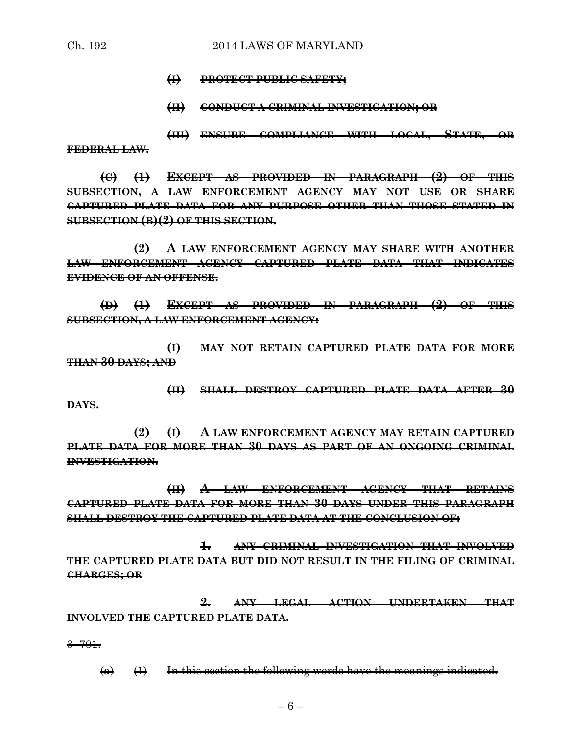- **(I) PROTECT PUBLIC SAFETY;**
- **(II) CONDUCT A CRIMINAL INVESTIGATION; OR**

**(III) ENSURE COMPLIANCE WITH LOCAL, STATE, OR FEDERAL LAW.**

**(C) (1) EXCEPT AS PROVIDED IN PARAGRAPH (2) OF THIS SUBSECTION, A LAW ENFORCEMENT AGENCY MAY NOT USE OR SHARE CAPTURED PLATE DATA FOR ANY PURPOSE OTHER THAN THOSE STATED IN SUBSECTION (B)(2) OF THIS SECTION.**

**(2) A LAW ENFORCEMENT AGENCY MAY SHARE WITH ANOTHER LAW ENFORCEMENT AGENCY CAPTURED PLATE DATA THAT INDICATES EVIDENCE OF AN OFFENSE.**

**(D) (1) EXCEPT AS PROVIDED IN PARAGRAPH (2) OF THIS SUBSECTION, A LAW ENFORCEMENT AGENCY:**

**(I) MAY NOT RETAIN CAPTURED PLATE DATA FOR MORE THAN 30 DAYS; AND**

**(II) SHALL DESTROY CAPTURED PLATE DATA AFTER 30 DAYS.**

**(2) (I) A LAW ENFORCEMENT AGENCY MAY RETAIN CAPTURED PLATE DATA FOR MORE THAN 30 DAYS AS PART OF AN ONGOING CRIMINAL INVESTIGATION.**

**(II) A LAW ENFORCEMENT AGENCY THAT RETAINS CAPTURED PLATE DATA FOR MORE THAN 30 DAYS UNDER THIS PARAGRAPH SHALL DESTROY THE CAPTURED PLATE DATA AT THE CONCLUSION OF:**

**1. ANY CRIMINAL INVESTIGATION THAT INVOLVED THE CAPTURED PLATE DATA BUT DID NOT RESULT IN THE FILING OF CRIMINAL CHARGES; OR**

**2. ANY LEGAL ACTION UNDERTAKEN THAT INVOLVED THE CAPTURED PLATE DATA.**

3–701.

 $(a)$   $(1)$  In this section the following words have the meanings indicated.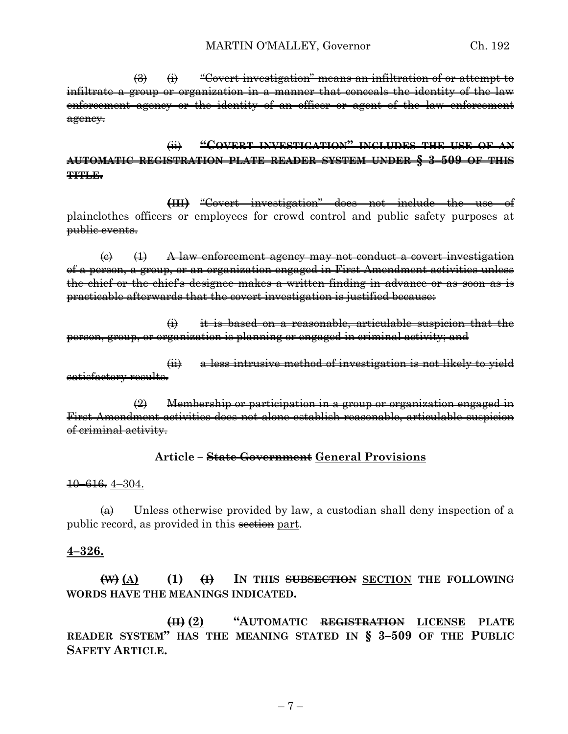$\left(\frac{1}{2}\right)$  (i) "Covert investigation" means an infiltration of or attempt to infiltrate a group or organization in a manner that conceals the identity of the law enforcement agency or the identity of an officer or agent of the law enforcement agency.

(ii) **"COVERT INVESTIGATION" INCLUDES THE USE OF AN AUTOMATIC REGISTRATION PLATE READER SYSTEM UNDER § 3–509 OF THIS TITLE.**

**(III)** "Covert investigation" does not include the use of plainclothes officers or employees for crowd control and public safety purposes at public events.

 $\left(\epsilon\right)$   $\left(\epsilon\right)$  A law enforcement agency may not conduct a covert investigation of a person, a group, or an organization engaged in First Amendment activities unless the chief or the chief's designee makes a written finding in advance or as soon as is practicable afterwards that the covert investigation is justified because:

(i) it is based on a reasonable, articulable suspicion that the person, group, or organization is planning or engaged in criminal activity; and

(ii) a less intrusive method of investigation is not likely to yield satisfactory results.

(2) Membership or participation in a group or organization engaged in First Amendment activities does not alone establish reasonable, articulable suspicion of criminal activity.

#### **Article – State Government General Provisions**

10–616. 4–304.

 $\overline{\leftrightarrow}$  Unless otherwise provided by law, a custodian shall deny inspection of a public record, as provided in this section part.

#### **4–326.**

**(W) (A) (1) (I) IN THIS SUBSECTION SECTION THE FOLLOWING WORDS HAVE THE MEANINGS INDICATED.**

**(II) (2) "AUTOMATIC REGISTRATION LICENSE PLATE READER SYSTEM" HAS THE MEANING STATED IN § 3–509 OF THE PUBLIC SAFETY ARTICLE.**